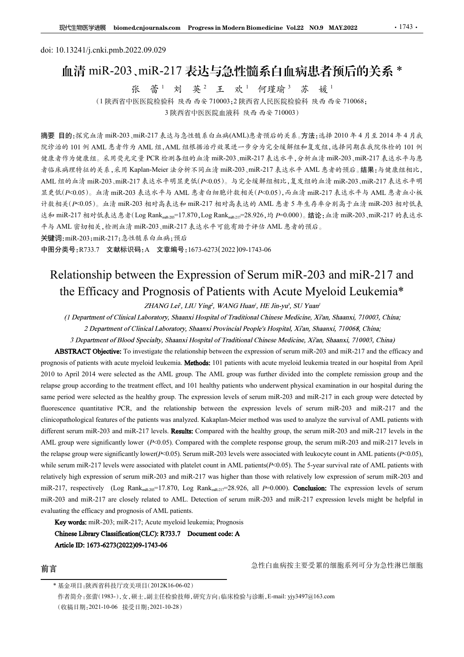## 血清 miR-203、miR-217 表达与急性髓系白血病患者预后的关系 \* 张 蕾 <sup>1</sup> 刘 英 <sup>2</sup> 王 欢 <sup>1</sup> 苏 媛 <sup>1</sup>

doi: 10.13241/j.cnki.pmb.2022.09.029 张蕾<sup>1</sup> 刘 英<sup>2</sup> 王 欢<sup>1</sup> 何瑾瑜3 苏 媛<sup>1</sup> 张 蕾<sup>1</sup> 刘 英<sup>2</sup> 王 欢<sup>1</sup> 何瑾瑜<sup>3</sup> 苏 媛<sup>1</sup><br>(1陕西省中医医院检验科 陕西 西安 710003;2 陕西省人民医院检验科 陕西 西安 710068; - ^ マ - 一 へ - 一 つ - 一 つ - つ - つ - タ<br>2科 陕西 西安 710003,2 陕西省人民医院检验科 陕西<br>3 陕西省中医医院血液科 陕西 西安 710003 )

摘要 目的:探究血清 miR-203、miR-217 表达与急性髓系白血病(AML)患者预后的关系。方法:选择 2010 年 4 月至 2014 年 4 月我 院诊治的 101 例 AML 患者作为 AML 组,AML 组根据治疗效果进一步分为完全缓解组和复发组,选择同期在我院体检的 101 例 健康者作为健康组。采用荧光定量 PCR 检测各组的血清 miR-203、miR-217 表达水平,分析血清 miR-203、miR-217 表达水平与患 者临床病理特征的关系,采用 Kaplan-Meier 法分析不同血清 miR-203、miR-217 表达水平 AML 患者的预后。结果:与健康组相比, AML 组的血清 miR-203、miR-217 表达水平明显更低(P<0.05)。与完全缓解组相比,复发组的血清 miR-203、miR-217 表达水平明 显更低(P<0.05)。血清 miR-203 表达水平与 AML 患者白细胞计数相关(P<0.05),而血清 miR-217 表达水平与 AML 患者血小板 计数相关(P<0.05)。血清 miR-203 相对高表达和 miR-217 相对高表达的 AML 患者 5 年生存率分别高于血清 miR-203 相对低表 **取性細胞学 blomedenjournals.com Progress in Modern Biomedicine Vol.22 NO.9 MAY.2022 - 1743.**<br>
doi: 10.13241/j.cnki.pmb.2022.09.029<br> **|||1清 miR-203、miR-217 表达与急性簡系白 ||1 病提者預后的关系 \***<br>
张 - 香 - 刘 英<sup>2</sup> 王 欢 - 何建瑜<sup>3</sup> 苏 - 爱 -<br>
(1 陕西 平与 AML 密切相关,检测血清 miR-203、miR-217 表达水平可能有助于评估 AML 患者的预后。 Relationship between the Expression of Serum miR-203 and miR-217 and (1) 陕西省市区 2018年11月11日、11月11日、11月11日、11月11日、11月11日、11月11日、11月11日、11月11日、11月11日、11月11日、11月11日、11月11日、11月11日、11月11日、11月11日、11月11日、11月11日、11月11日、11月11日、11月11日、11月11日、11月11日、11月11日、11月11日、11月11日、11月11日、11月11日、11月11日、11月11日、11 *F* 2002 And Expression of Serum miR-203 and miR-2017 and  $\#$  25 and  $\#$  25 and  $\#$  26 and  $\#$  26 and  $\#$  26 and  $\#$  26 and  $\#$  26 and  $\#$  26 and  $\#$  26 and  $\#$  26 and  $\#$  26 and  $\#$  26 and  $\#$  26  $\#$  26  $\$ ex as  $v = \pi/2$  accounts with a cute myeloid leukemia. The patients with a cute myeloid leuke mink and the hospital from April 2013 and mink at  $\frac{1}{2}$  and the control of patients with a specific and  $\frac{1}{2}$  and  $\frac{1$ 

关键词:miR-203;miR-217;急性髓系白血病;预后

中图分类号:R733.7 文献标识码:A 文章编号:1673-6273(2022)09-1743-06

2020 to APRIC 2010 to Apple 102 to AML group. The AML group is a state of the AML group. And the AML group was further as the AML group. And the AML group. And the AML group was further divided in the AML group of the AML relationship between the transis and the treatment effect of the transis and  $\frac{1}{2}$  and  $\frac{1}{2}$  and  $\frac{1}{2}$  and  $\frac{1}{2}$  and  $\frac{1}{2}$  and  $\frac{1}{2}$  and  $\frac{1}{2}$  and  $\frac{1}{2}$  and  $\frac{1}{2}$  and  $\frac{1}{2}$  and  $\frac$  $\mu_{\rm X}$ Rey are selected as the AMI, group. The AMI, group. The Apple Theorem in R-203 and miR-217 in the healthy group. <br>  $\mu_{\rm X}$  and  $\mu_{\rm X}$  is the selected as the health server in the expression of Serum miR-203  $\mu$  Relationship between the relationship between the relationship between  $\mu$  = 1.270, Log Rank<sub>as are</sub> 28.926,  $\mu$  = 0.000), 論论: 4% miR-203, miR-217 \$<br>  $\frac{1}{2}$  the relationship between the EXpression of Serum miR-**Example 1.2** For a state of the patients was analyzed. The AML patients was analyzed for the Figure of the patients was analyzed. <br> **Note the patients was an** analyzed for the EXpression of Serum miR-203 and miR-217 and **FOR THE COMPRESS AND MILE AND SERVE AND MILE COMPRESS AND MIR-217 and EXERCT SERVER SERVER SERVERS AND MIR-2017 AND MIR-2017 AND RELET CONSULTER SERVERS. CONSULTER SERVERS AND MIR-2013 and miR-2013 and miR-217 and the Ef** AMR group according to the test there is a style of the comparison of Scrum miR-203 and miR-217 and<br>the Efficiacy and Prognossis of Patients with Acute Mycloid Leukemia\*<br> $(1$  Department of Clinical Laboratory, Shann's Hos The relationship between the Expression of Serum miR-203 and miR-217 and<br>the Efficacy and Prognosis of Patients with Acute Myeloid Leukemia<sup>\*</sup><br>
(*I Department of Clinical Laboratory*, Shamari *Hushingi*, *WANG Hami, HL Jh* Relationship between the Expression of Serum miR-203 and miR-217 and<br>the Efficacy and Prognosis of Patients with Acute Myeloid Leukemia\*<br>  $7HAM(1x^3, 1H1)$  Ying<sup>2</sup>, WANG Hand, HE Jingyi, SU Yana<sup>1</sup><br>
(*I Department of Clini* RCIBILONISHIP DEUNCEN IIID EXPRESSION Of SCIUM MIILA=203 and MIR-217 and<br>
the Efficacy and Programs of Patients with Acute Myselva.<br>
(1 Department of Clinical Laboratory, Shanovi Hospital of Tatacy HE Have, 182 Yana, Shan the Efficacy and Prognosis of Patients with Acute Mycloid Leukemia<sup>\*</sup><br>
(*Department of Clinical Laboratory, Shamari Hospital of Traditional Chinese Abdical Chinese 21.12003, China:<br>
22 Paparment of Clinical Laboratory, Sh* THANG Left, LIU Yingi, WANG Hurari, HE Jin-ya', SU Yuan'<br>
2 Paparment of Clinical Laboratory. Shamati Hospital of Traditional Chinese Medicine, Xian, Shamati, 710003, China:<br>
2 Deparment of Filind Laboratory. Shamati Foy (1 Department of Clinical Laboratory, Shumavi Hospital of Traditional Chinese Medicine, Xi'an, Shaunxi, 710003, China;<br>
2 Department of Clinical Laboratory, Shaunxi Provincial People's Hospital XYan, Shaunxi, 710063, Chin **Department of Clinical Laboratory. Shamon's Provincial People's Hospital, Xi'an, Shamon', 710068, China;**<br>
Department of Clinical Laboratory. Shamon's Hospital of Traditional Chinese Medicine, Xi'an, Shamon', 710003, Chi period were selected as the healthy group. The expression levels of serum miR-203 and miR-217 in each group were detected by<br>cennes quantitatre PCR, and the relationship hextwore the expression levels of serum miR-203 an

前言 前言 医二十二指数 医二十二指数 高性白血病按主要受累的细胞系列可分为急性淋巴细胞

<sup>\*</sup> 基金项目:陕西省科技厅攻关项目(2012K16-06-02)

<sup>(</sup>收稿日期:2021-10-06 接受日期:2021-10-28)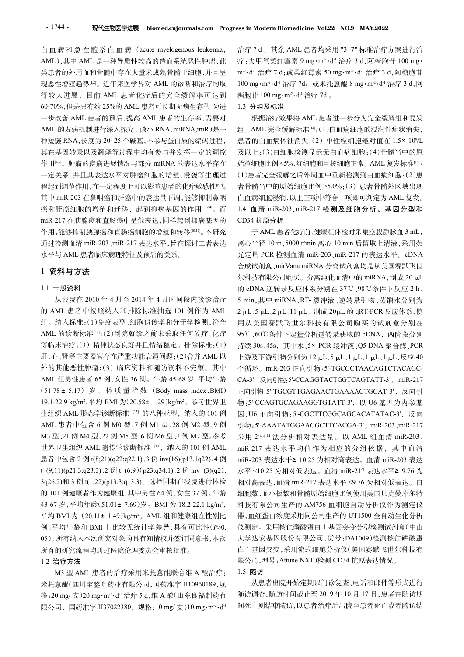•1744• 现代生物医学进展 biomed.cnjournals.com Progress in Modern Biomedicine Vol.22 NO.9 MAY.2022<br>白血病和急性髓系白血病(acute myelogenous leukemia, 治疗7d。其余AML 患者均采用 "3+7" 标准治疗方案进行治<br>AML),其中 AML 是一种异质性较高的造血系统恶性肿瘤,此 疗:去甲氧柔红霉素 9 mg·m<sup>2</sup>·d<sup>.</sup> 得较大进展,目前 AML 患者化疗后的完全缓解率可达到 60-70%,但是只有约 25%的 AML 患者可长期无病生存<sup>[3]</sup>。为进 一步改善 AML 患者的预后,提高 AML 患者的生存率,需要对 AML 的发病机制进行深入探究。微小 RNA(miRNA,miR)是一 种短链 RNA,长度为 20~25 个碱基,不参与蛋白质的编码过程, 其在基因转录以及翻译等过程中均有参与并发挥一定的调控 作用[4,5]。肿瘤的疾病进展情况与部分 miRNA 的表达水平存在 一定关系,并且其表达水平对肿瘤细胞的增殖、侵袭等生理过 程起到调节作用,在一定程度上可以影响患者的化疗敏感性<sup>[6,7]</sup>。 其中 miR-203 在鼻咽癌和肝癌中的表达量下调,能够抑制鼻咽 癌和肝癌细胞的增殖和迁移,起到抑癌基因的作用 [89]。而 miR-217 在胰腺癌和直肠癌中呈低表达,同样起到抑癌基因的 作用,能够抑制胰腺癌和直肠癌细胞的增殖和转移[10,11]。本研究 水平与 AML 患者临床病理特征及预后的关系。

#### 1 资料与方法

### 1.1 一般资料

的 AML 患者中按照纳入和排除标准抽选 101 例作为 AML 组。纳入标准:(1)免疫表型、细胞遗传学和分子学检测,符合 AML 的诊断标准[12];(2)到院就诊之前未采取任何放疗、化疗 等临床治疗;(3)精神状态良好并且情绪稳定。排除标准:(1) 持续 30s、45s, 其中水、5× PCR 缓冲液、Q5 DNA 聚合酶、PCR 肝、心、肾等主要器官存在严重功能衰退问题;(2)合并 AML 以 上游及下游引物分别为 12 μL、5 μL、1 μL、1 → 仙水信方, <> / 福音火感長対方五晶氧感定。清露病能、(1) 57%<br>肝、心、肾等主要器官存在严重功能衰退问题;(2)合并 AML 以 上游<br>外的其他恶性肿瘤;(3) 临床资料和随访资料不完整。其中 个循 AML 组男性患者 65 例,女性 36 例。年龄 45-68 岁,平均年龄  $\begin{array}{llllllllllllllllllllllllllllllllllllllllllllq\kappa_{\rm{1}}\cdot\rm{G}^2&\rm{M}_{\rm{1}}\cdot\rm{G}^2&\rm{M}_{\rm{2}}\cdot\rm{G}^2&\rm{M}_{\rm{2}}\cdot\rm{G}^2&\rm{M}_{\rm{2}}\cdot\rm{G}^2&\rm{M}_{\rm{2}}\cdot\rm{G}^2&\rm{M}_{\rm{2}}\cdot\rm{G}^2&\rm{M}_{\rm{2}}\cdot\rm{G}^2&\rm{M}_{\rm{2}}\cdot\rm{G}^2&\rm{M}_{\rm{2}}\$ ',平均 BMI 为(20.58± 1.29)kg/m²。参考世界卫 物 : 5'-CCAGTGCAGAA 生组织 AML 形态学诊断标准 [13] 的八种亚型, 纳入的 101 例 AML 患者中包含 6 例 M0 型、7 例 M1 型、28 例 M2 型、9 例 M3 型、21 例 M4 型、22 例 M5 型、6 例 M6 型、2 例M7 型。参考 世界卫生组织 AML 遗传学诊断标准 [13], 纳入的 101 例 AML miR-217 表达水平均值作为相应的分组依据, 其中血清 患者中包含 2 例 t(8;21)(q22;q22.1)、3 例 inv(16)(p13.1q22)、4 例 3q26.2)和 3 例 t(1;22)(p13.3;q13.3)。选择同期在我院进行体检 的 101 例健康者作为健康组,其中男性 64 例,女性 37 例。年龄 平均 BMI 为 (20.11± 1.49)kg/m²。AML 组和健康组在性别比 器,血红蛋白浓度采用同: 例、平均年龄和 BMI 上比较无统计学差异,具有可比性(P>0. 05)。所有纳入本次研究对象均具有知情权并签订同意书,本次 所有的研究流程均通过医院伦理委员会审核批准。 0.10.22 % ypi = 7 % xi m xi m = 20 mg/ mod along model with interpretational content content of the set of the set of the set of the set of the set of the set of the set of the set of the set of the set of the set of the

## 1.2 治疗方法

M3 型 AML 患者的治疗采用米托蒽醌联合维 A 酸治疗: 米托蒽醌(四川宝鉴堂药业有限公司,国药准字 H10960189,规

类患者的外周血和骨髓中存在大量未成熟骨髓干细胞,并且呈 m<sup>2</sup>·d<sup>1</sup> 治疗 7 d;或柔红霉素 50 mg·m<sup>2</sup>·d<sup>1</sup> 治疗 3 d,阿糖胞苷 现恶性增殖趋势[12]。近年来医学界对 AML 的诊断和治疗均取 100 mg·m2·d<sup>1</sup> 治疗 7d; 或米托蒽醌 8 mg·m<sup>2</sup>·d<sup>1</sup> 治疗 3 d,阿 sss in Modern Biomedicine Vol.22 NO.9 MAY.2022<br>治疗 7 d 。其余 AML 患者均采用 "3+7" 标准治疗方案进行治<br>疗 :去甲氧柔红霉素 9 mg·m<sup>2</sup>·d<sup>1</sup> 治疗 3 d,阿糖胞苷 100 mg·<br>m<sup>2</sup>·d<sup>1</sup> 治疗 7 d; 或柔红霉素 50 mg·m<sup>2</sup>·d<sup>1</sup> 治疗 3 d,阿糖胞苷<br>100 mg·m<sup>2</sup>·d<sup>1</sup> 治疗 7d; 或米托蒽醌 8 mg·m<sup>2</sup> ess in Modern Biomedicine Vol.22 NO.9 MAY.2022<br>治疗 7 d 。其余 AML 患者均采用 "3+7" 标准治疗方案进行治<br>疗 :去甲氧柔红霉素 9 mg·m<sup>-2</sup>·d<sup>1</sup> 治疗 3 d,阿糖胞苷 100 mg·<br>m<sup>-2</sup>·d<sup>1</sup> 治疗 7 d;或柔红霉素 50 mg·m<sup>-2</sup>·d<sup>1</sup> 治疗 3 d,阿糖胞苷<br>100 mg·m<sup>-2</sup>·d<sup>1</sup> 治疗 7d; 或米托蒽醌 8 mg·m ess in Modern Biomedicine Vol.22 NO.9 MAY.2022<br>治疗 7 d 。其余 AML 患者均采用 "3+7" 标准治疗方案进行治<br>疗 :去甲氧柔红霉素 9 mg·m<sup>2</sup>·d<sup>1</sup> 治疗 3 d,阿糖胞苷 100 mg·<br>m<sup>2</sup>·d<sup>1</sup> 治疗 7 d;或柔红霉素 50 mg·m<sup>2</sup>·d<sup>1</sup> 治疗 3 d,阿糖胞苷<br>100 mg·m<sup>2</sup>·d<sup>1</sup> 治疗 7d; 或米托蒽醌 8 mg·m<sup>2</sup>· Modern Biomedicine Vol22 NO.9 MAY.2022<br>7 d 。其余 AML 患者均采用 "3+7" 标准治疗方案进行治<br>:甲氧柔红霉素 9 mg·m<sup>2</sup>·d<sup>1</sup> 治疗 3 d,阿糖胞苷 100 mg·<br>"治疗 7 d;或柔红霉素 50 mg·m<sup>2</sup>·d<sup>1</sup> 治疗 3 d,阿糖胞苷<br>ng·m<sup>2</sup>·d<sup>1</sup> 治疗 7d; 或米托蒽醌 8 mg·m<sup>2</sup>·d<sup>1</sup> 治疗 3 d,阿<br>苷 100 mg·m<sup>2</sup> **MAY.2022**<br>标准治疗方案进行治<br>d,阿糖胞苷 100 mg·<br><sup>1.</sup>治疗 3 d,阿糖胞苷<br>g·m<sup>-2</sup>·d<sup>-1</sup> 治疗 3 d,阿<br>为完全缓解组和复发 **ss in Modern Biomedicine Vol.22 NO.9 MAY.2022**<br>治疗 7 d 。其余 AML 患者均采用 "3+7" 标准治疗方案进行治<br>疗 :去甲氧柔红霉素 9 mg·m<sup>-2</sup>·d<sup>-1</sup> 治疗 3 d,阿糖胞苷 100 mg·<br>m<sup>-2</sup>·d<sup>-1</sup> 治疗 7 d;或柔红霉素 50 mg·m<sup>-2</sup>·d<sup>-1</sup> 治疗 3 d,阿糖胞苷<br>100 mg·m<sup>-2·</sup>d<sup>-1</sup> 治疗 7d; 或米托蒽醌 **Biomedicine Vol.22 NO.9 MAY.2022**<br>余 AML 患者均采用 "3+7" 标准治疗方案进行治<br>红霉素 9 mg·m<sup>-2</sup>·d<sup>-1</sup> 治疗 3 d,阿糖胞苷 100 mg·<br>d;或柔红霉素 50 mg·m<sup>-2</sup>·d<sup>-1</sup> 治疗 3 d,阿糖胞苷<br><sup>-1</sup> 治疗 7d; 或米托蒽醌 8 mg·m<sup>-2</sup>·d<sup>-1</sup> 治疗 3 d,阿<br>g·m<sup>-2</sup>·d<sup>-1</sup> 治疗 7d 。<br>准<br>效果将 AML 患者进 22<br>疗方案进行治<br>胞苷 100 mg·<br>3 d,阿糖胞苷<br><sup>-1</sup>治疗 3 d,阿<br><br>素解组和复发<br>接脏状消失, **sss in Modern Biomedicine Vol22 NO.9 MAY.2022**<br>治疗 7 d 。其余 AML 患者均采用 "3+7" 标准治疗方案进行治<br>疗 :去甲氧柔红霉素 9 mg·m<sup>2</sup>·d<sup>1</sup> 治疗 3 d,阿糖胞苷 100 mg·m<sup>2</sup>·d<sup>1</sup> 治疗 7 d; 或柔红霉素 50 mg·m<sup>2·</sup>d<sup>1</sup> 治疗 3 d,阿糖胞苷<br>100 mg·m<sup>2</sup>·d<sup>1</sup> 治疗 7d; 或米托蒽醌 8 mg·m<sup>2</sup> 糖胞苷 100 mg·m<sup>-2</sup>·d<sup>-1</sup> 治疗 7d 。

## 1.3 分组及标准

。 者骨髓当中的原始细胞比例 >5.0%;(3)患者骨髓外区域出现 根据治疗效果将 AML 患者进一步分为完全缓解组和复发 组。AML 完全缓解标准<sup>[14</sup>:(1)白血病细胞的浸润性症状消失, 患者的白血病体征消失;(2)中性粒细胞绝对值在 1.5× 10 %L  $\mathcal{L}$ 及以上;(3)白细胞检测显示无白血病细胞;(4)骨髓当中的原 始粒细胞比例 <5%,红细胞和巨核细胞正常。 AML 复发标准[15]: (1)患者完全缓解之后外周血中重新检测到白血病细胞;(2)患 白血病细胞浸润,以上三项中符合一项即可判定为 AML 复发。 1.4 血清 miR-203、miR-217 检测及细胞分析、基因分型和 CD34 抗原分析 7d。其余 AML 患者为采用 "3-71 硫腈 AML 的复数,<br>
FF 氧柔红霉素 9 mg·m<sup>2</sup>·d<sup>1</sup> 治疗 3 d,阿糖胞苷 100 mg·<br>
FF 氧柔红霉素 9 mg·m<sup>2</sup>·d<sup>1</sup> 治疗 3 d,阿糖胞苷 100 mg·<br>
H<sup>2</sup> 治疗 7d;或柔红霉素 50 mg·m<sup>2</sup>·d<sup>1</sup> 治疗 3 d,阿糖胞苷 100 mg·m<sup>2·d1</sup> 治疗 7d;或柔红霉素 50 mg·m<sup>2·d1</sup> 治疗 3 d,阿糖 治疗7d。其余 AML 患者均采用 "3-7"标准治疗方案进行方式,<br>疗:去甲氧柔红霉素 9 mg·m<sup>2</sup>·d<sup>:</sup> 治疗 3d,阿糖胞苷 100 mg·m<sup>2</sup>·d<sup>:</sup> 治疗 7d;或柔红霉素 50 mg·m<sup>2</sup>·d<sup>:</sup> 治疗 3d,阿糖胞苷 100 mg·m<sup>2·d</sup>: 治疗 7d;或实红霉素 50 mg·m<sup>2</sup>·d<sup>:</sup> 治疗 3d,阿糖胞苷 100 mg·m<sup>2·d</sup>: 治疗 7d;或来托蒽醌 8 mg·m<sup>2·</sup> 合成试剂盒、mirVana miRNA 分离试剂盒均是从美国赛默飞世

通过检测血清 miR-203、miR-217 表达水平,旨在探讨二者表达 离心半径 10 m, 5000 r/min 离心 10 min 后留取上清液,采用荧 从我院在 2010 年 4 月至 2014 年 4 月时间段内接诊治疗 5 min, 其中 miRNA、RT- 缓冲液、逆转录引物、蒸馏水分别为 征通易网中FP-3.7 生是戰車 10.78 症候上,2 年度最近,第一時,5.02.5 ± 7.8 正21.7 ml 2014 年,10.78 ± 7.8 減少。 5.17) 游 5.27 controlled the first of the first of the first of the first of the first of the first of the first of the first of the fir 1 资料与方法<br>
1.1 一般發料<br>
9;44枚有2010年4月至2014年4月时间股内接給治疗<br>
1 的-DNA 逆转系与分别是反应使系分别在第27.9;%xe体系分别在37C,9%左右半行后发现。<br>
1 的ARL 患者中按照航人和排除标准抽造101例作为AML 2 pL.5,L.5,L.4,L.1,L.4,制成20,L.1的或FCR,221.4;不可,<br>
9)ARL 患者中按照航人和排除标准抽造101例作为AML 2 pL.5,L. 43-67 岁,平均年龄(51.01<sup>±</sup> 7.69)岁。BMI <sup>为</sup> 18.2-22.1 kg/m2 , 科技有限公司生产的 AM756 血细胞自动分析仪作为测定仪 1 # 7 a, 2008 2 and a matriculary and a matriculary and a matriculary and a matriculary and a matriculary and a matriculary and a matriculary and a matriculary and a matriculary and a matriculary and a matriculary and a 5.8.2007年3月 (4000 型) 20 Mg/11 mg/ 10 mg/2007 mg/11 mg/2007 mg/11 mg/2007 mg/m-2·d2007 mg/m-2·d2007 mg/m-2·d2007 mg/m-2·d2007 mg/m-2·d2007 mg/m-2·d2007 mg/m-2·d2007 mg/m-2·d2007 mg/m-2·d2007 mg/m-2·d2007 mg/m-2·d2007 mg/m 光定量 PCR 检测血清 miR-203、miR-217 的表达水平。cDNA 尔科技有限公司购买。分离纯化血清中的 miRNA,制成 20 µL <sup>的</sup> cDNA 逆转录反应体系分别在 <sup>37</sup>℃、98℃条件下反应 2 h、 5 min,其中 miRNA、RT- 缓冲液、逆转录引物、蒸馏水分别为 2 μL、5 μL、2 μL、11 μL。制成 20μL 的 qRT-PCR 反应体系,使 用从美国赛默飞世尔科技有限公司购买的试剂盒分别在 95℃、60℃条件下定量分析逆转录获取的 cDNA, 两阶段分别 5× Baraker Lanker, Marker Lanker Marker Lanker Hanker Hanker Hanker (1994年前期限度可以上,1月期限的開拓策略和的原則指標,以上三项中符合一项即可判定为AML复发。<br>在 30 s年全缓解之后外周血中重新检测到白血病细胞;(2)患者完全缓解之后外周血中重新检测到白血病细胞;(2)患者完全缓解之后外周血中重新检测到白血病细胞;(2)患者看髓当中的原始细胞比例 >5.0 上游及下游引物分别为 12 μL、5 μL、1 μL、1 μL、1 μL,反应 40 个循环。miR-203 正向引物:5'-TGCGCTAACAGTCTACAGC-CA-3',反向引物:5'-CCAGGTACTGGTCAGTATT-3'。 miR-217 正向引物:5'-TGCGTTGAGAACTGAAAACTGCAT-3',反向引 物:5'-CCAGTGCAGAAGGTGTATT-3',以 U6 基因为内参基 因,U6 正向引物:5'-CGCTTCGGCAGCACATATAC-3',反向 引物: 5'-AAATATGGAACGCTTCACGA-3'。miR-203、miR-217 采用 2-4 ° 法分析相对表达量。以 AML 组血清 miR-203、 子 AML患者化疗前,健康组体检时来集空腹静脉血 3mL,<br>高心半径 10 m,5000 r/min 离心 10 min 后留取上清液,采用荧<br>心量量 PCR 检测血清 miR-203、miR-217 的表达水平。c DNA<br>分成试剂 ami miR-203、miR-217 的表达水平。c DNA<br>5 分析技有限公司购买。分离纯化血清中的 miRNA、制成 20 μL<br>5 min,其中 miRNA、RT- 缓中液、逆转录引物、蒸馏水分别 miR-203 表达水平≥ 10.25 为相对高表达,血清 miR-203 表达 水平 <10.25 为相对低表达。血清 miR-217 表达水平≥ 9.76 为 相对高表达,血清 miR-217 表达水平 <9.76 为相对低表达。白 细胞数、血小板数和骨髓原始细胞比例使用美国贝克曼库尔特 器,血红蛋白浓度采用同公司生产的 UT1500 全自动生化分析 仪测定。采用核仁磷酸蛋白 1 基因突变分型检测试剂盒(中山 大学达安基因股份有限公司,货号:DA1009)检测核仁磷酸蛋 白 1 基因突变,采用流式细胞分析仪(美国赛默飞世尔科技有 上研タド研키物方列: 12 μL、3 μL、1 μL、1 μL、1 μL、2 ω accoccread.coccread.coccread.coccread.coccread.coccread.coccread.coccread.coccread.coccread.coccread.coccread.coccread.coccread.coccread.coccread.coccread.coccread.coccread.coccr

#### 1.5 随访

-1 间死亡则结束随访,以患者治疗后出院至患者死亡或者随访结 从患者出院开始定期以门诊复查、电话和邮件等形式进行 随访调查,随访时间截止至 2019 年 10 月 17 日,患者在随访期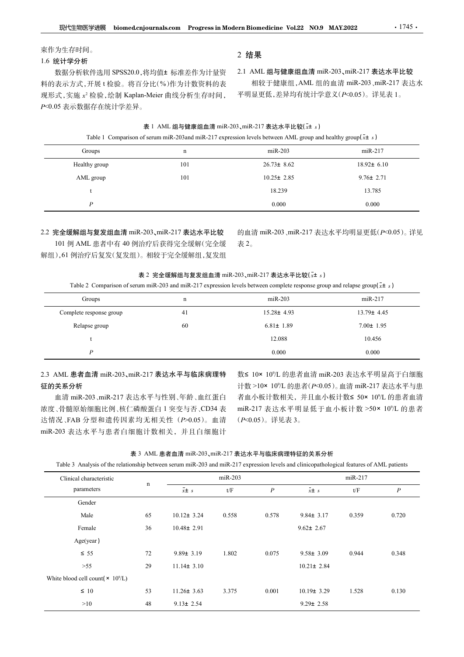#### 束作为生存时间。

#### 1.6 统计学分析

2 结果

数据分析软件选用 SPSS20.0,将均值± 标准差作为计量资 2.1 AML 组与健康组血清 miR-203、miR-217 表达水平比较 料的表示方式,开展 t 检验。将百分比(%)作为计数资料的表 现形式 ,实施 x² 检验 ,绘制 Kaplan-Meier 曲线分析生存时间 , 平明』 P<0.05 表示数据存在统计学差异。

2.1 AML 组与健康组血清 miR-203、miR-217 表达水平比较 相较于健康组,AML 组的血清 miR-203、miR-217 表达水 平明显更低,差异均有统计学意义(P<0.05)。详见表 1。

# journals.com Progress in Modern Biomedicine Vol.22 NO.9 MAY.2022 · 1745 ·<br>
2 结果<br>
特均值±标准差作为计量资 2.1 AML 组与健康组血清 miR-203、miR-217 表达水平比较<br>
分比 (%)作为计数资料的表 相较于健康组, AML 组的血清 miR-203、miR-217 表达水<br>
-Meier 曲线分析生存时间, 平明显更低,差异均有统计学意义( **『学进展 biomed.cnjournals.com Progress in Modern Biomedicine Vol.22 NO.9 MAY.2022 - 1745 ·<br>
4. 2 结果<br>
作选用 SPSS20.0,将均值± 标准差作为计量资 - 2.1 AML 组与健康组血清 miR-203,miR-217 表达水平比较<br>
开展 t检验。将百分比(%)作为计数资料的表 - 相较于健康组,AML 组的血清 miR-203,mi 医学进展 biomed.cnjournals.com Progress in Modern Biomedicine Vol.22 NO.9 MAY.2022 - 1745 - <br>何。 2 结果<br><br>特代法用 SPSS20.0.将均位も标准差作为计量资 2.1 AML 组与健康组血清 miR-203、miR-217 表达水平比较<br>... ),所展は疲惫。将百分比(%)作为计数资料的表 相较于健康组、AML 组的血清 miR-203、mi** Healthy group 101 26.73<sup>±</sup> 8.62 18.92<sup>±</sup> 6.10 物医学規模 biomed.cnjournals.com Progressin.Modern.Biomedicine Vol.22 NO.9 MAY.2022 · 1745 ·<br>时间...<br>1976年<br>新米作进用 SPSS20.0.将均值± 标准差作为计数资 2.1 AML 组与健康组血清 mik-203, mik-217 表达水平比较<br>式,开展 t 检验, 将百分比(%)作为计数资料的表 相较了健康组,AML 组的血清 mik-203, 学選**課 biomed.cnjournals.com Progress in Modern Biomedicine Vol.22 NO.9 MAY2022 - 1745 - <br>- 2 结果<br>- 2 结果<br>- 行展出の8.3520.0.将均値± 标准差作为计量资 2.1 AML 组与健康组血清 mik-203,mik-217 表达水平比较<br>- 作用を検索、特百分比(%)作为社数資料的表 - 相殺于健康组, AML 组的血清 mik-20** 学選戦 biomed.cnjournals.com Progress in Modern Biomedicine Vol.22 NO.9 MAY.2022 - 1745 - 2<br>
- 2 结果<br>
作成用 SPSS20.0. 将均値± 标准差作为计量資 2.1 AML 組与健康組血清 mR-203, miR-217 表达水平比较<br>
陸原、接前分比(%)作为计数資料的表 - 相殺于健康组, AML 组的血清 mR-203, miR-217

#### 2.2 完全缓解组与复发组血清 miR-203、miR-217 表达水平比较

表 2 完全缓解组与复发组血清 miR-203、miR-217 表达水平比较( $x$ ± s)

| 料的表示万式,廾展t 检验。将自分比(%)作为计数资料的表<br>现形式,实施 x2 检验,绘制 Kaplan-Meier 曲线分析生存时间,<br>P<0.05 表示数据存在统计学差异。                                                                                                    |             |                                                  |                |                  | 相较于健康组, AML 组的皿淯 miK-203、miK-21 / 表达水<br>平明显更低,差异均有统计学意义(P<0.05)。详见表 1。                                                                                         |                         |                  |  |
|---------------------------------------------------------------------------------------------------------------------------------------------------------------------------------------------------|-------------|--------------------------------------------------|----------------|------------------|-----------------------------------------------------------------------------------------------------------------------------------------------------------------|-------------------------|------------------|--|
|                                                                                                                                                                                                   |             | 表 1 AML 组与健康组血清 miR-203、miR-217 表达水平比较(x+ s)     |                |                  |                                                                                                                                                                 |                         |                  |  |
| Groups                                                                                                                                                                                            |             | $\mathbf n$                                      |                | $miR-203$        | Table 1 Comparison of serum miR-203 and miR-217 expression levels between AML group and healthy group( $\bar{x}$ ± s)                                           | $miR-217$               |                  |  |
| Healthy group                                                                                                                                                                                     |             | 101                                              |                | $26.73 \pm 8.62$ |                                                                                                                                                                 | $18.92 \pm 6.10$        |                  |  |
|                                                                                                                                                                                                   |             | 101                                              |                | $10.25 \pm 2.85$ |                                                                                                                                                                 | $9.76 \pm 2.71$         |                  |  |
| AML group                                                                                                                                                                                         |             |                                                  |                | 18.239           |                                                                                                                                                                 | 13.785                  |                  |  |
| $\boldsymbol{P}$                                                                                                                                                                                  |             |                                                  |                | 0.000            |                                                                                                                                                                 | 0.000                   |                  |  |
| 2.2 完全缓解组与复发组血清 miR-203、miR-217 表达水平比较<br>101 例 AML 患者中有 40 例治疗后获得完全缓解(完全缓<br>解组),61例治疗后复发(复发组)。相较于完全缓解组,复发组                                                                                      |             | 表 2 完全缓解组与复发组血清 miR-203、miR-217 表达水平比较( $x$ ± s) | 表 2。           |                  | 的血清 miR-203、miR-217 表达水平均明显更低(P<0.05)。详见                                                                                                                        |                         |                  |  |
| Table 2 Comparison of serum miR-203 and miR-217 expression levels between complete response group and relapse group( $\bar{x}$ ± s)                                                               |             |                                                  |                |                  |                                                                                                                                                                 |                         |                  |  |
| Groups                                                                                                                                                                                            |             | n                                                |                | $miR-203$        |                                                                                                                                                                 | $miR-217$               |                  |  |
| Complete response group                                                                                                                                                                           |             | 41                                               |                | $15.28 \pm 4.93$ |                                                                                                                                                                 | 13.79± 4.45             |                  |  |
| Relapse group                                                                                                                                                                                     |             | 60                                               |                | $6.81 \pm 1.89$  |                                                                                                                                                                 | $7.00 \pm 1.95$         |                  |  |
|                                                                                                                                                                                                   |             |                                                  |                | 12.088           |                                                                                                                                                                 | 10.456                  |                  |  |
| $\boldsymbol{P}$                                                                                                                                                                                  |             |                                                  |                | 0.000            |                                                                                                                                                                 | 0.000                   |                  |  |
| 2.3 AML 患者血清 miR-203、miR-217 表达水平与临床病理特<br>征的关系分析<br>血清 miR-203、miR-217 表达水平与性别、年龄、血红蛋白<br>浓度、骨髓原始细胞比例、核仁磷酸蛋白 1 突变与否、CD34 表<br>达情况、FAB 分型和遗传因素均无相关性 (P>0.05)。血清<br>miR-203 表达水平与患者白细胞计数相关, 并且白细胞计 |             |                                                  |                | (P<0.05)。详见表 3。  | 数≤ 10× 10%L 的患者血清 miR-203 表达水平明显高于白细胞<br>计数 >10× 10%L 的患者(P<0.05)。血清 miR-217 表达水平与患<br>者血小板计数相关, 并且血小板计数≤ 50× 10%L 的患者血清<br>miR-217 表达水平明显低于血小板计数 >50× 10%L 的患者 |                         |                  |  |
| Table 3 Analysis of the relationship between serum miR-203 and miR-217 expression levels and clinicopathological features of AML patients<br>Clinical characteristic                              |             | 表 3 AML 患者血清 miR-203、miR-217 表达水平与临床病理特征的关系分析    | $miR-203$      |                  |                                                                                                                                                                 | miR-217                 |                  |  |
| parameters                                                                                                                                                                                        | $\mathbf n$ | $\bar{x}$ $\pm$ s                                | $t/\mathrm{F}$ | $\boldsymbol{P}$ | $x \pm s$                                                                                                                                                       | $\mathbf{t}/\mathbf{F}$ | $\boldsymbol{P}$ |  |
| Gender                                                                                                                                                                                            |             |                                                  |                |                  |                                                                                                                                                                 |                         |                  |  |
| Male                                                                                                                                                                                              | 65          | $10.12 \pm 3.24$                                 | 0.558          | 0.578            | $9.84 \pm 3.17$                                                                                                                                                 | 0.359                   | 0.720            |  |
| Female                                                                                                                                                                                            | 36          | $10.48 \pm 2.91$                                 |                |                  | $9.62 \pm 2.67$                                                                                                                                                 |                         |                  |  |

## 征的关系分析

|                                                                                                                                           |             | 41                                            |                | $13.28E$ 4.93    |                                            | $13.79$ $\pm$ 4.43 |                  |  |
|-------------------------------------------------------------------------------------------------------------------------------------------|-------------|-----------------------------------------------|----------------|------------------|--------------------------------------------|--------------------|------------------|--|
| Relapse group                                                                                                                             |             | 60                                            |                | $6.81 \pm 1.89$  |                                            | $7.00 \pm 1.95$    |                  |  |
| t                                                                                                                                         |             |                                               |                | 12.088           |                                            | 10.456             |                  |  |
| $\boldsymbol{P}$                                                                                                                          |             |                                               |                | 0.000            |                                            | 0.000              |                  |  |
|                                                                                                                                           |             |                                               |                |                  |                                            |                    |                  |  |
| 2.3 AML 患者血清 miR-203、miR-217 表达水平与临床病理特                                                                                                   |             |                                               |                |                  | 数≤ 10× 10%L 的患者血清 miR-203 表达水平明显高于白细胞      |                    |                  |  |
| 征的关系分析                                                                                                                                    |             |                                               |                |                  | 计数 >10× 10%L 的患者(P<0.05)。血清 miR-217 表达水平与患 |                    |                  |  |
| 血清 miR-203、miR-217 表达水平与性别、年龄、血红蛋白                                                                                                        |             |                                               |                |                  | 者血小板计数相关, 并且血小板计数≤ 50× 10%L 的患者血清          |                    |                  |  |
| 浓度、骨髓原始细胞比例、核仁磷酸蛋白 1 突变与否、CD34 表                                                                                                          |             |                                               |                |                  | miR-217 表达水平明显低于血小板计数 >50× 10%L 的患者        |                    |                  |  |
| 达情况、FAB 分型和遗传因素均无相关性 (P>0.05)。血清                                                                                                          |             |                                               |                | (P<0.05)。详见表 3。  |                                            |                    |                  |  |
| niR-203 表达水平与患者白细胞计数相关, 并且白细胞计                                                                                                            |             |                                               |                |                  |                                            |                    |                  |  |
|                                                                                                                                           |             |                                               |                |                  |                                            |                    |                  |  |
|                                                                                                                                           |             | 表 3 AML 患者血清 miR-203、miR-217 表达水平与临床病理特征的关系分析 |                |                  |                                            |                    |                  |  |
| Table 3 Analysis of the relationship between serum miR-203 and miR-217 expression levels and clinicopathological features of AML patients |             |                                               |                |                  |                                            |                    |                  |  |
| Clinical characteristic                                                                                                                   | $\mathbf n$ | $miR-203$                                     |                |                  | miR-217                                    |                    |                  |  |
| parameters                                                                                                                                |             | $\bar{x}$ $\pm$ s                             | $t/\mathrm{F}$ | $\boldsymbol{P}$ | $\bar{x}$ $\pm$ s                          | $t\!/F$            | $\boldsymbol{P}$ |  |
| Gender                                                                                                                                    |             |                                               |                |                  |                                            |                    |                  |  |
| Male                                                                                                                                      | 65          | $10.12 \pm 3.24$                              | 0.558          | 0.578            | $9.84 \pm 3.17$                            | 0.359              | 0.720            |  |
| Female                                                                                                                                    | 36          | $10.48 \pm 2.91$                              |                |                  | $9.62 \pm 2.67$                            |                    |                  |  |
| Age(year)                                                                                                                                 |             |                                               |                |                  |                                            |                    |                  |  |
| $\leq 55$                                                                                                                                 | 72          | $9.89 \pm 3.19$                               | 1.802          | 0.075            | $9.58 \pm 3.09$                            | 0.944              | 0.348            |  |
|                                                                                                                                           | 29          | $11.14 \pm 3.10$                              |                |                  | $10.21 \pm 2.84$                           |                    |                  |  |
| $>55$                                                                                                                                     |             |                                               |                |                  |                                            |                    |                  |  |
| White blood cell count( $\times$ 10 <sup>9</sup> /L)                                                                                      |             |                                               |                |                  |                                            |                    |                  |  |
| $\leq 10$                                                                                                                                 | 53          | $11.26 \pm 3.63$                              | 3.375          | 0.001            | $10.19 \pm 3.29$                           | 1.528              | 0.130            |  |
|                                                                                                                                           |             |                                               |                |                  |                                            |                    |                  |  |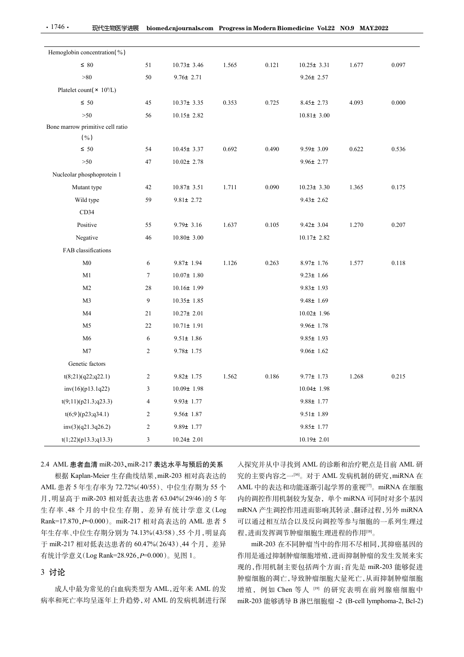| $\cdot$ 1746 $\cdot$<br>现代生物医学进展             |                 | biomed.cnjournals.com Progress in Modern Biomedicine Vol.22 NO.9 MAY.2022 |       |       |                                    |       |           |
|----------------------------------------------|-----------------|---------------------------------------------------------------------------|-------|-------|------------------------------------|-------|-----------|
| Hemoglobin concentration(%)                  |                 |                                                                           |       |       |                                    |       |           |
| $\leq 80$                                    | 51              | $10.73 \pm 3.46$                                                          | 1.565 | 0.121 | $10.25 \pm 3.31$                   | 1.677 | 0.097     |
| >80                                          | 50              | $9.76 \pm 2.71$                                                           |       |       | $9.26 \pm 2.57$                    |       |           |
| Platelet count( $\times$ 10 <sup>9</sup> /L) |                 |                                                                           |       |       |                                    |       |           |
| $\leq 50$                                    | 45              | $10.37 \pm 3.35$                                                          | 0.353 | 0.725 | $8.45 \pm 2.73$                    | 4.093 | 0.000     |
| >50                                          | 56              | $10.15 \pm 2.82$                                                          |       |       | $10.81 \pm 3.00$                   |       |           |
| Bone marrow primitive cell ratio<br>(% )     |                 |                                                                           |       |       |                                    |       |           |
| $\leq 50$                                    | 54              | $10.45 \pm 3.37$                                                          | 0.692 | 0.490 | $9.59 \pm 3.09$                    | 0.622 | 0.536     |
| >50                                          | 47              | $10.02 \pm 2.78$                                                          |       |       | $9.96 \pm 2.77$                    |       |           |
| Nucleolar phosphoprotein 1                   |                 |                                                                           |       |       |                                    |       |           |
| Mutant type                                  | 42              | $10.87 \pm 3.51$                                                          | 1.711 | 0.090 | $10.23 \pm 3.30$                   | 1.365 | 0.175     |
| Wild type                                    | 59              | $9.81 \pm 2.72$                                                           |       |       | $9.43 \pm 2.62$                    |       |           |
| CD34                                         |                 |                                                                           |       |       |                                    |       |           |
| Positive                                     | 55              | $9.79 \pm 3.16$                                                           | 1.637 | 0.105 | $9.42 \pm 3.04$                    | 1.270 | 0.207     |
| Negative                                     | 46              | $10.80 \pm 3.00$                                                          |       |       | $10.17 \pm 2.82$                   |       |           |
| FAB classifications                          |                 |                                                                           |       |       |                                    |       |           |
| M <sub>0</sub>                               | 6               | $9.87 \pm 1.94$                                                           | 1.126 | 0.263 | $8.97 \pm 1.76$                    | 1.577 | $0.118\,$ |
| M1                                           | $7\phantom{.0}$ | $10.07 \pm 1.80$                                                          |       |       | $9.23 \pm 1.66$                    |       |           |
| M <sub>2</sub><br>M <sub>3</sub>             | 28<br>9         | $10.16 \pm 1.99$<br>$10.35 \pm 1.85$                                      |       |       | $9.83 \pm 1.93$<br>$9.48 \pm 1.69$ |       |           |
| M <sub>4</sub>                               | 21              | $10.27 \pm 2.01$                                                          |       |       | $10.02 \pm 1.96$                   |       |           |
| M <sub>5</sub>                               | 22              | $10.71 \pm 1.91$                                                          |       |       | $9.96 \pm 1.78$                    |       |           |
| M <sub>6</sub>                               | 6               | $9.51 \pm 1.86$                                                           |       |       | $9.85 \pm 1.93$                    |       |           |
| M <sub>7</sub>                               | $\overline{2}$  | $9.78 \pm 1.75$                                                           |       |       | $9.06 \pm 1.62$                    |       |           |
| Genetic factors                              |                 |                                                                           |       |       |                                    |       |           |
| t(8;21)(q22;q22.1)                           | $\overline{2}$  | $9.82 \pm 1.75$                                                           | 1.562 | 0.186 | $9.77 \pm 1.73$                    | 1.268 | 0.215     |
| inv(16)(p13.1q22)                            | 3               | $10.09 \pm 1.98$                                                          |       |       | $10.04 \pm 1.98$                   |       |           |
| t(9;11)(p21.3;q23.3)                         | $\overline{4}$  | $9.93 \pm 1.77$                                                           |       |       | $9.88 \pm 1.77$                    |       |           |
| t(6;9)(p23;q34.1)                            | $\overline{2}$  | $9.56 \pm 1.87$                                                           |       |       | $9.51 \pm 1.89$                    |       |           |
| inv(3)(q21.3q26.2)                           | $\overline{2}$  | $9.89 \pm 1.77$                                                           |       |       | $9.85 \pm 1.77$                    |       |           |
| t(1;22)(p13.3;q13.3)                         | $\mathbf{3}$    | $10.24 \pm 2.01$                                                          |       |       | $10.19 \pm 2.01$                   |       |           |

入探究并从中寻找到 AML 的诊断和治疗靶点是目前 AML 研 究的主要内容之一[16]。对于 AML 发病机制的研究,miRNA 在 AML 中的表达和功能逐渐引起学界的重视<sup>[17]</sup>。miRNA 在细胞 内的调控作用机制较为复杂,单个 miRNA 可同时对多个基因 mRNA 产生调控作用进而影响其转录、翻译过程,另外 miRNA 可以通过相互结合以及反向调控等参与细胞的一系列生理过 程,进而发挥调节肿瘤细胞生理进程的作用[18] 。 9.88± 1.77<br>9.51± 1.89<br>9.85± 1.77<br>10.19± 2.01<br>7.84 第2020 10.19± 2.01<br>7.84 第2021 10。对于 AML 发酶和治疗靶点是目前 AML 研究<br>2021 第2021 10。对于 AML 发病机制的研究, miRNA 在<br>AML 中的考达和功能添渐引起学界的重视。 miRNA 在维服<br>内的调控作用机制能为复杂,单个 miRNA 可同时对多个基因<br>PIRNA产生调控作用进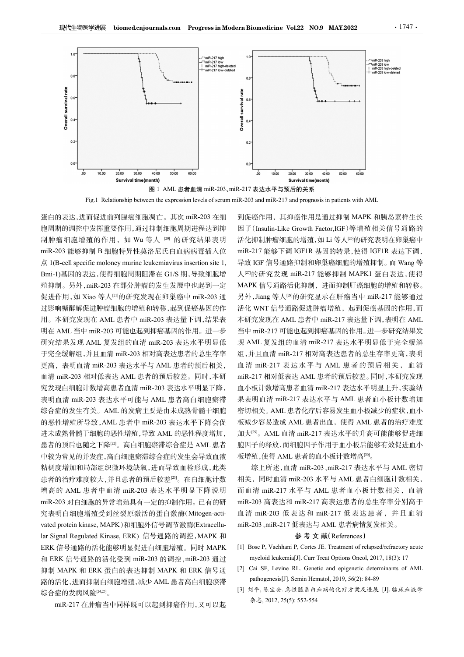

蛋白的表达,进而促进前列腺癌细胞凋亡。其次 miR-203 在细 制肿瘤细胞增殖的作用, 如 Wu 等人 [20] 的研究结果表明 miR-203 能够抑制 B 细胞特异性莫洛尼氏白血病病毒插入位 Bmi-1)基因的表达,使得细胞周期阻滞在 G1/S 期,导致细胞增 殖抑制。另外,miR-203 在部分肿瘤的发生发展中也起到一定 促进作用, 如 Xiao 等人<sup>[21]</sup>的研究发现在卵巢癌中 miR-203 通 过影响糖酵解促进肿瘤细胞的增殖和转移,起到促癌基因的作 用。本研究发现在 AML 患者中 miR-203 表达量下调,结果表 明在 AML 当中 miR-203 可能也起到抑癌基因的作用。进一步 研究结果发现 AML 复发组的血清 miR-203 表达水平明显低 于完全缓解组,并且血清 miR-203 相对高表达患者的总生存率 血清 miR-203 相对低表达 AML 患者的预后较差。同时,本研 究发现白细胞计数增高患者血清 miR-203 表达水平明显下降, 表明血清 miR-203 表达水平可能与 AML 患者高白细胞瘀滞 综合症的发生有关。AML 的发病主要是由未成熟骨髓干细胞 的恶性增殖所导致,AML 患者中 miR-203 表达水平下降会促 进未成熟骨髓干细胞的恶性增殖,导致 AML 的恶性程度增加, 患者的预后也随之下降[22]。高白细胞瘀滞综合症是 AML 患者 中较为常见的并发症,高白细胞瘀滞综合症的发生会导致血液 粘稠度增加和局部组织微环境缺氧,进而导致血栓形成,此类 患者的治疗难度较大,并且患者的预后较差[23]。在白细胞计数 增高的 AML 患者中血清 miR-203 表达水平明显下降说明 miR-203 对白细胞的异常增殖具有一定的抑制作用。已有的研 究表明白细胞增殖受到丝裂原激活的蛋白激酶(Mitogen-acti-7at "一对LCR %200 that %2 5 基层,下降200 未达率不同的。如果是一同的,如果是一個的。如果是一個的,如果是一個的,如果是一個的,如果是一個的,如果是一個的。如果是一個的,如果是一個的,如果是一個的,如果是一個的,如果是一個的,如果是一個的,如果是一個的,如果是一個的。在一個的,而且也是一個的,而且也是一個的,而且是一個的。在一個的,而且是一個的,而且是一個的,而且是一個的,而且是一個的,而且是一個的,而且是一個 lar Signal Regulated Kinase, ERK) 信号通路的调控,MAPK <sup>和</sup> ERK 信号通路的活化能够明显促进白细胞增殖。同时 MAPK [1] Bose P, Vachhani P, Cortes JE. Treatment of relapsed/refractory acute 和 ERK 信号通路的活化受到 miR-203 的调控, miR-203 通过 myeloid leukemia[J]. Curr Treat Options Oncol, 2017, 18(3): 17 抑制 MAPK 和 ERK 蛋白的表达抑制 MAPK 和 ERK 信号通 [2] Cai SF, Levine RL. Genetic and epigenetic determinants of AML<br>欧的迁化 进而抑制白细胞增殖 减小 AML 串老真白细胞瘤沸 pathogenesis[J]. Semin Hematol, 2019, 56(2): 84-89 路的活化,进而抑制白细胞增殖,减少 AML 患者高白细胞瘀滞 综合症的发病风险[24,25]。 。<br>。<br>。

miR-217 在肿瘤当中同样既可以起到抑癌作用,又可以起

胞周期的调控中发挥重要作用,通过抑制细胞周期进程达到抑 因子(Insulin-Like Growth Factor,IGF)等增殖相关信号通路的 更高,表明血清 miR-203 表达水平与 AML 患者的预后相关, 血清 miR-217 表达水平与 AML 患者的预后相关, 血清 到促癌作用,其抑癌作用是通过抑制 MAPK 和胰岛素样生长 活化抑制肿瘤细胞的增殖,如 Li 等人[26]的研究表明在卵巢癌中 miR-217 能够下调 IGF1R 基因的转录,使得 IGF1R 表达下调, 导致 IGF 信号通路抑制和卵巢癌细胞的增殖抑制。而 Wang 等 人[27]的研究发现 miR-217 能够抑制 MAPK1 蛋白表达, 使得 MAPK 信号通路活化抑制,进而抑制肝癌细胞的增殖和转移。 另外,Jiang 等人[28]的研究显示在肝癌当中 miR-217 能够通过 活化 WNT 信号通路促进肿瘤增殖,起到促癌基因的作用,而 本研究发现在 AML 患者中 miR-217 表达量下调,表明在 AML 当中 miR-217 可能也起到抑癌基因的作用。进一步研究结果发 现 AML 复发组的血清 miR-217 表达水平明显低于完全缓解 组,并且血清 miR-217 相对高表达患者的总生存率更高,表明 血清 miR-217 表 达水 平与 AML 患者 的预 后相 关 , 血 清 miR-217 相对低表达 AML 患者的预后较差。同时,本研究发现 血小板计数增高患者血清 miR-217 表达水平明显上升,实验结 果表明血清 miR-217 表达水平与 AML 患者血小板计数增加 密切相关。AML 患者化疗后容易发生血小板减少的症状,血小 板减少容易造成 AML 患者出血,使得 AML 患者的治疗难度 加大[29] 。AML 血清 miR-217 表达水平的升高可能能够促进细 胞因子的释放,而细胞因子作用于血小板后能够有效促进血小 板增殖,使得 AML 患者的血小板计数增高<sup>[30</sup>。 [1] Bose P, Vachhani P, Cortes JE. Treatment of relapsed/refractory acute Framin<sup>e</sup> mine-217 matzon mine-217 matzon mine-217 mine-217 mine-217 mine-217 mine-217 mine-217 mine-217 mine-217 mine-217 mine-217 mine-217 mine-217 mine-217 mine-217 mine-217 mine-217 mine-217 mine-217 mine-217 mine-21 m: iR = mik-217 本这小平与 AML 患者的现向相关, 血清<br>mik-217 相对低表达 AML 患者的预信较差。同时,本研究发射<br>血管-2017 相对低表结构, 化反常分解, 化反常分解, 化反射 mini mik-217 表达水平与 AML 患者的分析状态变为<br>果果明血清 mik-217 表达水平与 AML 患者 血小板计数增加<br>密切相关。AML 患者化疗后较发生血小板减少的症状, 血小<br>板减少容易造成 AML 患者 pathogenesis[J]. Semin Hematol, 2019, 56(2): 84-89

综上所述,血清 miR-203、miR-217 表达水平与 AML 密切 相关,同时血清 miR-203 水平与 AML 患者白细胞计数相关, 而血清 miR-217 水平与 AML 患者血小板计数相关,血清 miR-203 高表达和 miR-217 高表达患者的总生存率分别高于 血清 miR-203 低表达和 miR-217 低表达患者, 并且血清 miR-203、miR-217 低表达与 AML 患者病情复发相关。 <sub>て</sub>込和 miK-217 似衣込忠名,<br>氐表达与 AML 患者病情复发相关<br>**参 考 文 献(**References) :明血清 miR-217表达水平与 AML 患者血小板计数増加<br>相关。AML 患者化疗后容易发生血小板减少的症状, 血小板注射 AML 患者的治疗, 体内<br>2028<br>2028 過速, AML 患者出血、使得 AML 患者的治疗, 难度<br>2028<br>2028 高速, AML 患者的血小板计数可能能够促进血小<br>(型, AML 血清 miR-217 表达水平的开高可能能够促进血小<br>(子) 540 million - 12 表达水平的方向的能力

- 
- 
- [3] 刘平, 陈宝安. 急性髓系白血病的化疗方案及进展 [J]. 临床血液学